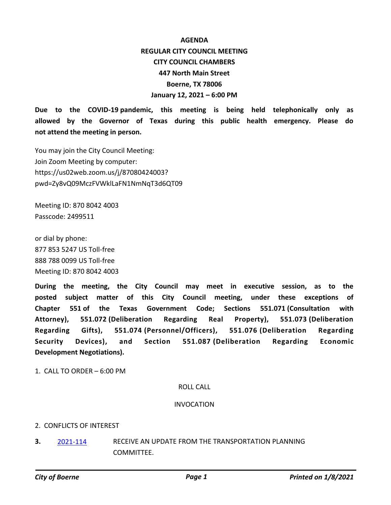# **AGENDA REGULAR CITY COUNCIL MEETING CITY COUNCIL CHAMBERS 447 North Main Street Boerne, TX 78006 January 12, 2021 – 6:00 PM**

**Due to the COVID-19 pandemic, this meeting is being held telephonically only as allowed by the Governor of Texas during this public health emergency. Please do not attend the meeting in person.**

You may join the City Council Meeting: Join Zoom Meeting by computer: https://us02web.zoom.us/j/87080424003? pwd=Zy8vQ09MczFVWklLaFN1NmNqT3d6QT09

Meeting ID: 870 8042 4003 Passcode: 2499511

or dial by phone: 877 853 5247 US Toll-free 888 788 0099 US Toll-free Meeting ID: 870 8042 4003

**During the meeting, the City Council may meet in executive session, as to the posted subject matter of this City Council meeting, under these exceptions of Chapter 551 of the Texas Government Code; Sections 551.071 (Consultation with Attorney), 551.072 (Deliberation Regarding Real Property), 551.073 (Deliberation Regarding Gifts), 551.074 (Personnel/Officers), 551.076 (Deliberation Regarding Security Devices), and Section 551.087 (Deliberation Regarding Economic Development Negotiations).**

1. CALL TO ORDER – 6:00 PM

#### ROLL CALL

#### INVOCATION

## 2. CONFLICTS OF INTEREST

RECEIVE AN UPDATE FROM THE TRANSPORTATION PLANNING COMMITTEE. **3.** 2021-114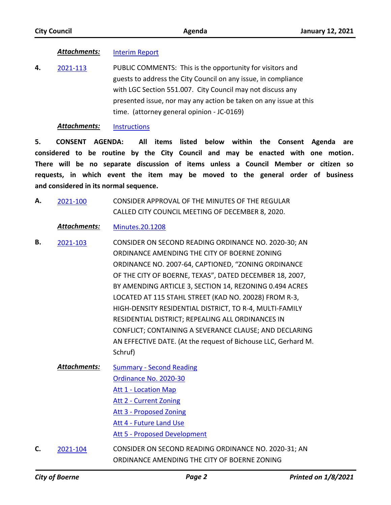## *Attachments:* Interim Report

PUBLIC COMMENTS: This is the opportunity for visitors and guests to address the City Council on any issue, in compliance with LGC Section 551.007. City Council may not discuss any presented issue, nor may any action be taken on any issue at this time. (attorney general opinion - JC-0169) **4.** 2021-113

#### *Attachments:* Instructions

**5. CONSENT AGENDA: All items listed below within the Consent Agenda are considered to be routine by the City Council and may be enacted with one motion. There will be no separate discussion of items unless a Council Member or citizen so requests, in which event the item may be moved to the general order of business and considered in its normal sequence.**

CONSIDER APPROVAL OF THE MINUTES OF THE REGULAR CALLED CITY COUNCIL MEETING OF DECEMBER 8, 2020. **A.** 2021-100

## *Attachments:* Minutes.20.1208

- CONSIDER ON SECOND READING ORDINANCE NO. 2020-30; AN ORDINANCE AMENDING THE CITY OF BOERNE ZONING ORDINANCE NO. 2007-64, CAPTIONED, "ZONING ORDINANCE OF THE CITY OF BOERNE, TEXAS", DATED DECEMBER 18, 2007, BY AMENDING ARTICLE 3, SECTION 14, REZONING 0.494 ACRES LOCATED AT 115 STAHL STREET (KAD NO. 20028) FROM R-3, HIGH-DENSITY RESIDENTIAL DISTRICT, TO R-4, MULTI-FAMILY RESIDENTIAL DISTRICT; REPEALING ALL ORDINANCES IN CONFLICT; CONTAINING A SEVERANCE CLAUSE; AND DECLARING AN EFFECTIVE DATE. (At the request of Bichouse LLC, Gerhard M. Schruf) **B.** 2021-103
	- Summary Second Reading Ordinance No. 2020-30 Att 1 - Location Map Att 2 - Current Zoning Att 3 - Proposed Zoning Att 4 - Future Land Use Att 5 - Proposed Development *Attachments:*
- CONSIDER ON SECOND READING ORDINANCE NO. 2020-31; AN ORDINANCE AMENDING THE CITY OF BOERNE ZONING **C.** 2021-104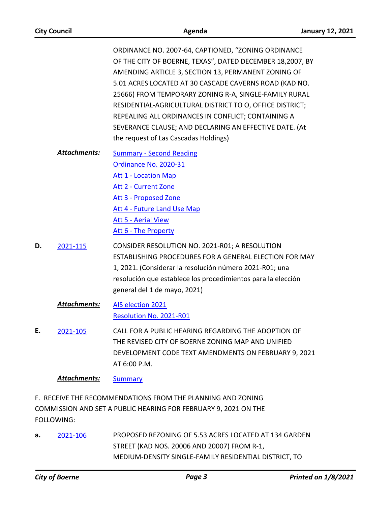| <b>City Council</b> | Agenda                                                                                                                                                                                                                                                                                                                                                                                                                                                                                                          | <b>January 12, 2021</b> |
|---------------------|-----------------------------------------------------------------------------------------------------------------------------------------------------------------------------------------------------------------------------------------------------------------------------------------------------------------------------------------------------------------------------------------------------------------------------------------------------------------------------------------------------------------|-------------------------|
|                     | ORDINANCE NO. 2007-64, CAPTIONED, "ZONING ORDINANCE<br>OF THE CITY OF BOERNE, TEXAS", DATED DECEMBER 18,2007, BY<br>AMENDING ARTICLE 3, SECTION 13, PERMANENT ZONING OF<br>5.01 ACRES LOCATED AT 30 CASCADE CAVERNS ROAD (KAD NO.<br>25666) FROM TEMPORARY ZONING R-A, SINGLE-FAMILY RURAL<br>RESIDENTIAL-AGRICULTURAL DISTRICT TO O, OFFICE DISTRICT;<br>REPEALING ALL ORDINANCES IN CONFLICT; CONTAINING A<br>SEVERANCE CLAUSE; AND DECLARING AN EFFECTIVE DATE. (At<br>the request of Las Cascadas Holdings) |                         |
| Attachments:        | <b>Summary - Second Reading</b><br>Ordinance No. 2020-31<br><b>Att 1 - Location Map</b><br><b>Att 2 - Current Zone</b><br><b>Att 3 - Proposed Zone</b><br>Att 4 - Future Land Use Map<br><b>Att 5 - Aerial View</b><br>Att 6 - The Property                                                                                                                                                                                                                                                                     |                         |
| D.<br>2021-115      | CONSIDER RESOLUTION NO. 2021-R01; A RESOLUTION<br>ESTABLISHING PROCEDURES FOR A GENERAL ELECTION FOR MAY<br>1, 2021. (Considerar la resolución número 2021-R01; una<br>resolución que establece los procedimientos para la elección<br>general del 1 de mayo, 2021)                                                                                                                                                                                                                                             |                         |
| <b>Attachments:</b> | <b>AIS election 2021</b><br>Resolution No. 2021-R01                                                                                                                                                                                                                                                                                                                                                                                                                                                             |                         |
| Е.<br>2021-105      | CALL FOR A PUBLIC HEARING REGARDING THE ADOPTION OF<br>THE REVISED CITY OF BOERNE ZONING MAP AND UNIFIED<br>DEVELOPMENT CODE TEXT AMENDMENTS ON FEBRUARY 9, 2021<br>AT 6:00 P.M.                                                                                                                                                                                                                                                                                                                                |                         |
| <b>Attachments:</b> | <b>Summary</b>                                                                                                                                                                                                                                                                                                                                                                                                                                                                                                  |                         |
| FOLLOWING:          | F. RECEIVE THE RECOMMENDATIONS FROM THE PLANNING AND ZONING<br>COMMISSION AND SET A PUBLIC HEARING FOR FEBRUARY 9, 2021 ON THE                                                                                                                                                                                                                                                                                                                                                                                  |                         |

PROPOSED REZONING OF 5.53 ACRES LOCATED AT 134 GARDEN STREET (KAD NOS. 20006 AND 20007) FROM R-1, MEDIUM-DENSITY SINGLE-FAMILY RESIDENTIAL DISTRICT, TO **a.** 2021-106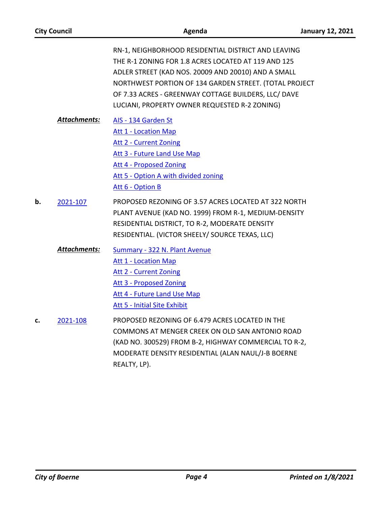| <b>City Council</b> |                     | Agenda                                                                                                                                                                                                                                                                                                                               | <b>January 12, 2021</b> |
|---------------------|---------------------|--------------------------------------------------------------------------------------------------------------------------------------------------------------------------------------------------------------------------------------------------------------------------------------------------------------------------------------|-------------------------|
|                     |                     | RN-1, NEIGHBORHOOD RESIDENTIAL DISTRICT AND LEAVING<br>THE R-1 ZONING FOR 1.8 ACRES LOCATED AT 119 AND 125<br>ADLER STREET (KAD NOS. 20009 AND 20010) AND A SMALL<br>NORTHWEST PORTION OF 134 GARDEN STREET. (TOTAL PROJECT<br>OF 7.33 ACRES - GREENWAY COTTAGE BUILDERS, LLC/ DAVE<br>LUCIANI, PROPERTY OWNER REQUESTED R-2 ZONING) |                         |
|                     | <b>Attachments:</b> | AIS - 134 Garden St<br>Att 1 - Location Map<br><b>Att 2 - Current Zoning</b><br>Att 3 - Future Land Use Map<br><b>Att 4 - Proposed Zoning</b><br>Att 5 - Option A with divided zoning<br>Att 6 - Option B                                                                                                                            |                         |
| b.                  | 2021-107            | PROPOSED REZONING OF 3.57 ACRES LOCATED AT 322 NORTH<br>PLANT AVENUE (KAD NO. 1999) FROM R-1, MEDIUM-DENSITY<br>RESIDENTIAL DISTRICT, TO R-2, MODERATE DENSITY<br>RESIDENTIAL. (VICTOR SHEELY/ SOURCE TEXAS, LLC)                                                                                                                    |                         |
|                     | <b>Attachments:</b> | <b>Summary - 322 N. Plant Avenue</b><br><b>Att 1 - Location Map</b><br><b>Att 2 - Current Zoning</b><br><b>Att 3 - Proposed Zoning</b><br>Att 4 - Future Land Use Map<br><b>Att 5 - Initial Site Exhibit</b>                                                                                                                         |                         |
| c.                  | 2021-108            | PROPOSED REZONING OF 6.479 ACRES LOCATED IN THE<br>COMMONS AT MENGER CREEK ON OLD SAN ANTONIO ROAD<br>(KAD NO. 300529) FROM B-2, HIGHWAY COMMERCIAL TO R-2,<br>MODERATE DENSITY RESIDENTIAL (ALAN NAUL/J-B BOERNE<br>REALTY, LP).                                                                                                    |                         |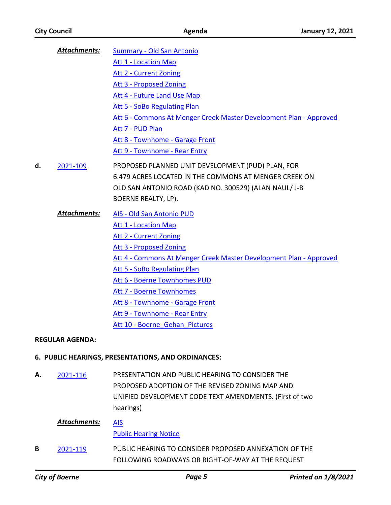*Attachments:*

Summary - Old San Antonio

Att 1 - Location Map Att 2 - Current Zoning

|    | <b>City of Boerne</b>  | Page 5                                                                                                     | <b>Printed on 1/8/2021</b> |
|----|------------------------|------------------------------------------------------------------------------------------------------------|----------------------------|
| В  | 2021-119               | PUBLIC HEARING TO CONSIDER PROPOSED ANNEXATION OF THE<br>FOLLOWING ROADWAYS OR RIGHT-OF-WAY AT THE REQUEST |                            |
|    | Attachments:           | <b>AIS</b><br><b>Public Hearing Notice</b>                                                                 |                            |
|    |                        | hearings)                                                                                                  |                            |
|    |                        | PROPOSED ADOPTION OF THE REVISED ZONING MAP AND<br>UNIFIED DEVELOPMENT CODE TEXT AMENDMENTS. (First of two |                            |
| А. | 2021-116               | PRESENTATION AND PUBLIC HEARING TO CONSIDER THE                                                            |                            |
|    |                        | 6. PUBLIC HEARINGS, PRESENTATIONS, AND ORDINANCES:                                                         |                            |
|    | <b>REGULAR AGENDA:</b> |                                                                                                            |                            |
|    |                        | Att 10 - Boerne Gehan Pictures                                                                             |                            |
|    |                        | Att 9 - Townhome - Rear Entry                                                                              |                            |
|    |                        | Att 8 - Townhome - Garage Front                                                                            |                            |
|    |                        | Att 7 - Boerne Townhomes                                                                                   |                            |
|    |                        | Att 6 - Boerne Townhomes PUD                                                                               |                            |
|    |                        | Att 5 - SoBo Regulating Plan                                                                               |                            |
|    |                        | Att 4 - Commons At Menger Creek Master Development Plan - Approved                                         |                            |
|    |                        | <b>Att 3 - Proposed Zoning</b>                                                                             |                            |
|    |                        | Att 2 - Current Zoning                                                                                     |                            |
|    |                        | <b>Att 1 - Location Map</b>                                                                                |                            |
|    | <b>Attachments:</b>    | AIS - Old San Antonio PUD                                                                                  |                            |
|    |                        | BOERNE REALTY, LP).                                                                                        |                            |
|    |                        | OLD SAN ANTONIO ROAD (KAD NO. 300529) (ALAN NAUL/ J-B                                                      |                            |
|    |                        | 6.479 ACRES LOCATED IN THE COMMONS AT MENGER CREEK ON                                                      |                            |
| d. | 2021-109               | PROPOSED PLANNED UNIT DEVELOPMENT (PUD) PLAN, FOR                                                          |                            |
|    |                        | Att 9 - Townhome - Rear Entry                                                                              |                            |
|    |                        | Att 8 - Townhome - Garage Front                                                                            |                            |
|    |                        | Att 7 - PUD Plan                                                                                           |                            |
|    |                        | Att 6 - Commons At Menger Creek Master Development Plan - Approved                                         |                            |
|    |                        | Att 5 - SoBo Regulating Plan                                                                               |                            |
|    |                        | Att 4 - Future Land Use Map                                                                                |                            |
|    |                        | Att 3 - Proposed Zoning                                                                                    |                            |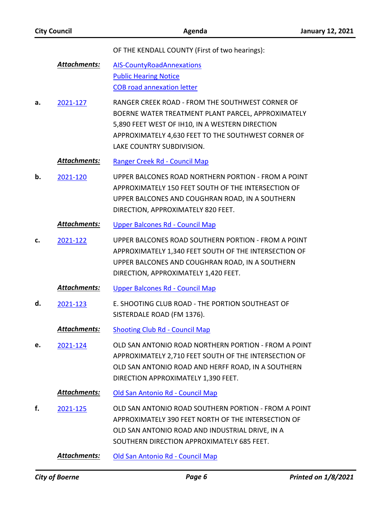OF THE KENDALL COUNTY (First of two hearings):

- AIS-CountyRoadAnnexations Public Hearing Notice COB road annexation letter *Attachments:*
- RANGER CREEK ROAD FROM THE SOUTHWEST CORNER OF BOERNE WATER TREATMENT PLANT PARCEL, APPROXIMATELY 5,890 FEET WEST OF IH10, IN A WESTERN DIRECTION APPROXIMATELY 4,630 FEET TO THE SOUTHWEST CORNER OF LAKE COUNTRY SUBDIVISION. **a.** 2021-127

#### *Attachments:* Ranger Creek Rd - Council Map

UPPER BALCONES ROAD NORTHERN PORTION - FROM A POINT APPROXIMATELY 150 FEET SOUTH OF THE INTERSECTION OF UPPER BALCONES AND COUGHRAN ROAD, IN A SOUTHERN DIRECTION, APPROXIMATELY 820 FEET. **b.** 2021-120

## *Attachments:* Upper Balcones Rd - Council Map

UPPER BALCONES ROAD SOUTHERN PORTION - FROM A POINT APPROXIMATELY 1,340 FEET SOUTH OF THE INTERSECTION OF UPPER BALCONES AND COUGHRAN ROAD, IN A SOUTHERN DIRECTION, APPROXIMATELY 1,420 FEET. **c.** 2021-122

## *Attachments:* Upper Balcones Rd - Council Map

E. SHOOTING CLUB ROAD - THE PORTION SOUTHEAST OF SISTERDALE ROAD (FM 1376). **d.** 2021-123

## *Attachments:* Shooting Club Rd - Council Map

OLD SAN ANTONIO ROAD NORTHERN PORTION - FROM A POINT APPROXIMATELY 2,710 FEET SOUTH OF THE INTERSECTION OF OLD SAN ANTONIO ROAD AND HERFF ROAD, IN A SOUTHERN DIRECTION APPROXIMATELY 1,390 FEET. **e.** 2021-124

## *Attachments:* Old San Antonio Rd - Council Map

OLD SAN ANTONIO ROAD SOUTHERN PORTION - FROM A POINT APPROXIMATELY 390 FEET NORTH OF THE INTERSECTION OF OLD SAN ANTONIO ROAD AND INDUSTRIAL DRIVE, IN A SOUTHERN DIRECTION APPROXIMATELY 685 FEET. **f.** 2021-125

*Attachments:* Old San Antonio Rd - Council Map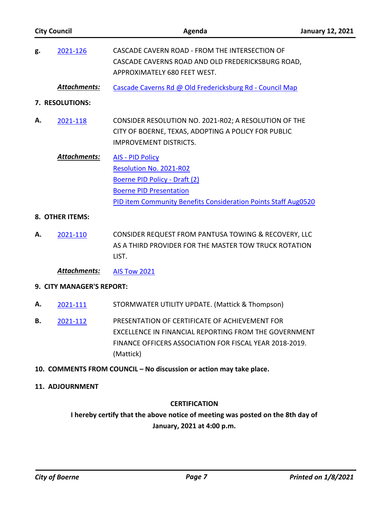| <b>City Council</b>                                                 |                           | Agenda                                                                                                                                                                                  | <b>January 12, 2021</b> |  |  |  |
|---------------------------------------------------------------------|---------------------------|-----------------------------------------------------------------------------------------------------------------------------------------------------------------------------------------|-------------------------|--|--|--|
| g.                                                                  | 2021-126                  | CASCADE CAVERN ROAD - FROM THE INTERSECTION OF<br>CASCADE CAVERNS ROAD AND OLD FREDERICKSBURG ROAD,<br>APPROXIMATELY 680 FEET WEST.                                                     |                         |  |  |  |
|                                                                     | Attachments:              | Cascade Caverns Rd @ Old Fredericksburg Rd - Council Map                                                                                                                                |                         |  |  |  |
| 7. RESOLUTIONS:                                                     |                           |                                                                                                                                                                                         |                         |  |  |  |
| А.                                                                  | 2021-118                  | CONSIDER RESOLUTION NO. 2021-R02; A RESOLUTION OF THE<br>CITY OF BOERNE, TEXAS, ADOPTING A POLICY FOR PUBLIC<br><b>IMPROVEMENT DISTRICTS.</b>                                           |                         |  |  |  |
|                                                                     | Attachments:              | <b>AIS - PID Policy</b><br>Resolution No. 2021-R02<br>Boerne PID Policy - Draft (2)<br><b>Boerne PID Presentation</b><br>PID item Community Benefits Consideration Points Staff Aug0520 |                         |  |  |  |
|                                                                     | 8. OTHER ITEMS:           |                                                                                                                                                                                         |                         |  |  |  |
| А.                                                                  | 2021-110                  | CONSIDER REQUEST FROM PANTUSA TOWING & RECOVERY, LLC<br>AS A THIRD PROVIDER FOR THE MASTER TOW TRUCK ROTATION<br>LIST.                                                                  |                         |  |  |  |
|                                                                     | <b>Attachments:</b>       | <b>AIS Tow 2021</b>                                                                                                                                                                     |                         |  |  |  |
|                                                                     | 9. CITY MANAGER'S REPORT: |                                                                                                                                                                                         |                         |  |  |  |
| А.                                                                  | 2021-111                  | STORMWATER UTILITY UPDATE. (Mattick & Thompson)                                                                                                                                         |                         |  |  |  |
| В.                                                                  | 2021-112                  | PRESENTATION OF CERTIFICATE OF ACHIEVEMENT FOR<br>EXCELLENCE IN FINANCIAL REPORTING FROM THE GOVERNMENT<br>FINANCE OFFICERS ASSOCIATION FOR FISCAL YEAR 2018-2019.<br>(Mattick)         |                         |  |  |  |
| 10. COMMENTS FROM COUNCIL - No discussion or action may take place. |                           |                                                                                                                                                                                         |                         |  |  |  |
| 11. ADJOURNMENT                                                     |                           |                                                                                                                                                                                         |                         |  |  |  |

# **CERTIFICATION**

**I hereby certify that the above notice of meeting was posted on the 8th day of January, 2021 at 4:00 p.m.**